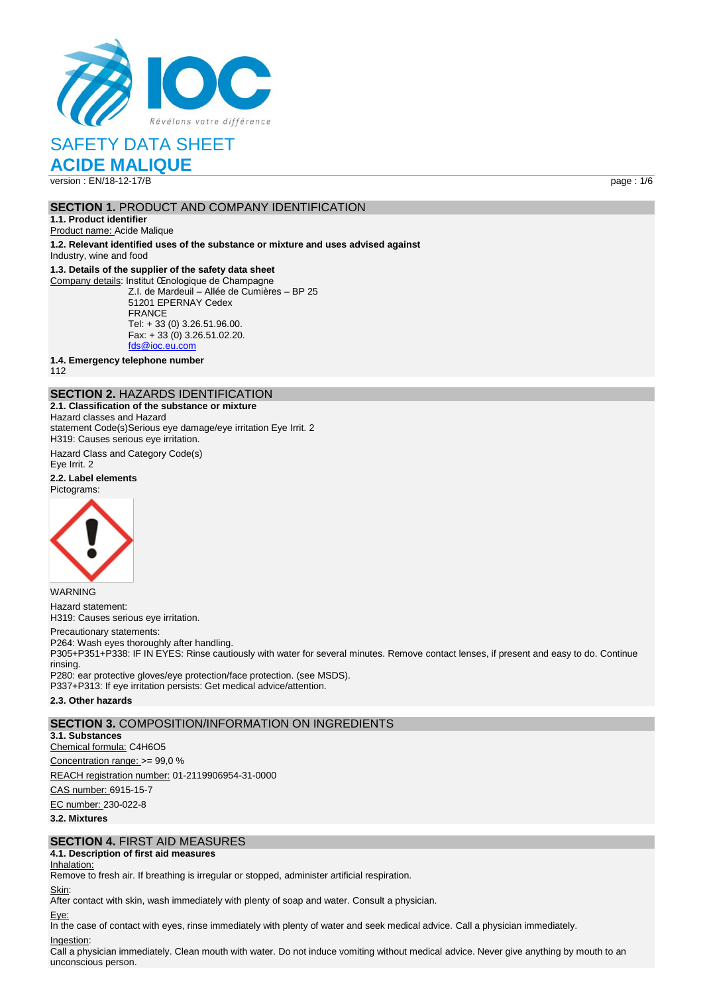

**ACIDE MALIQUE**

version : EN/18-12-17/B page : 1/6

## **SECTION 1. PRODUCT AND COMPANY IDENTIFICATION**

**1.1. Product identifier** Product name: Acide Malique

**1.2. Relevant identified uses of the substance or mixture and uses advised against**

Industry, wine and food

## **1.3. Details of the supplier of the safety data sheet**

Company details: Institut Œnologique de Champagne Z.I. de Mardeuil – Allée de Cumières – BP 25 51201 EPERNAY Cedex FRANCE Tel: + 33 (0) 3.26.51.96.00. Fax: + 33 (0) 3.26.51.02.20. [fds@ioc.eu.com](mailto:fds@ioc.eu.com)

**1.4. Emergency telephone number**

112

## **SECTION 2.** HAZARDS IDENTIFICATION

**2.1. Classification of the substance or mixture** Hazard classes and Hazard statement Code(s)Serious eye damage/eye irritation Eye Irrit. 2 H319: Causes serious eye irritation.

Hazard Class and Category Code(s) Eye Irrit. 2

**2.2. Label elements** Pictograms:



WARNING Hazard statement: H319: Causes serious eye irritation.

#### Precautionary statements:

P264: Wash eyes thoroughly after handling. P305+P351+P338: IF IN EYES: Rinse cautiously with water for several minutes. Remove contact lenses, if present and easy to do. Continue

rinsing. P280: ear protective gloves/eye protection/face protection. (see MSDS). P337+P313: If eye irritation persists: Get medical advice/attention.

#### **2.3. Other hazards**

## **SECTION 3.** COMPOSITION/INFORMATION ON INGREDIENTS

**3.1. Substances**

Chemical formula: C4H6O5

Concentration range: >= 99,0 %

REACH registration number: 01-2119906954-31-0000

CAS number: 6915-15-7

EC number: 230-022-8

**3.2. Mixtures**

## **SECTION 4.** FIRST AID MEASURES

## **4.1. Description of first aid measures**

Inhalation:

Remove to fresh air. If breathing is irregular or stopped, administer artificial respiration.

#### Skin:

After contact with skin, wash immediately with plenty of soap and water. Consult a physician.

### Eye:

In the case of contact with eyes, rinse immediately with plenty of water and seek medical advice. Call a physician immediately.

## Ingestion:

Call a physician immediately. Clean mouth with water. Do not induce vomiting without medical advice. Never give anything by mouth to an unconscious person.

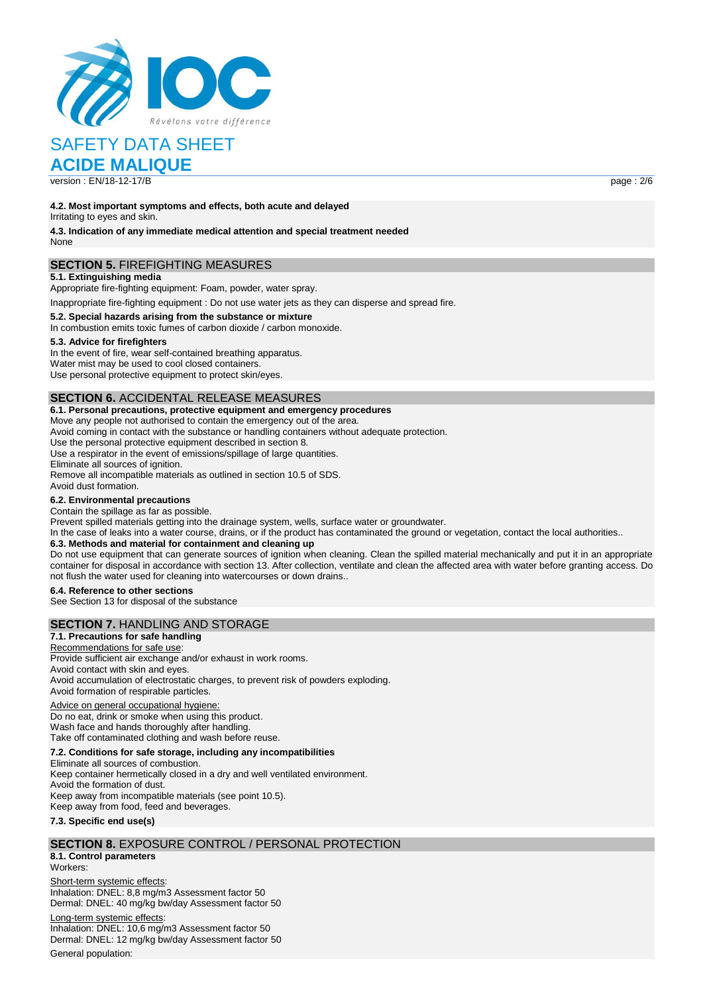

## **ACIDE MALIQUE**

version : EN/18-12-17/B page : 2/6

**4.2. Most important symptoms and effects, both acute and delayed** Irritating to eyes and skin.

**4.3. Indication of any immediate medical attention and special treatment needed** None

## **SECTION 5.** FIREFIGHTING MEASURES

#### **5.1. Extinguishing media**

Appropriate fire-fighting equipment: Foam, powder, water spray.

Inappropriate fire-fighting equipment : Do not use water jets as they can disperse and spread fire.

#### **5.2. Special hazards arising from the substance or mixture**

In combustion emits toxic fumes of carbon dioxide / carbon monoxide.

#### **5.3. Advice for firefighters**

In the event of fire, wear self-contained breathing apparatus. Water mist may be used to cool closed containers. Use personal protective equipment to protect skin/eyes.

## **SECTION 6.** ACCIDENTAL RELEASE MEASURES

#### **6.1. Personal precautions, protective equipment and emergency procedures**

Move any people not authorised to contain the emergency out of the area.

Avoid coming in contact with the substance or handling containers without adequate protection.

Use the personal protective equipment described in section 8.

Use a respirator in the event of emissions/spillage of large quantities. Eliminate all sources of ignition.

Remove all incompatible materials as outlined in section 10.5 of SDS. Avoid dust formation.

#### **6.2. Environmental precautions**

Contain the spillage as far as possible.

Prevent spilled materials getting into the drainage system, wells, surface water or groundwater.

In the case of leaks into a water course, drains, or if the product has contaminated the ground or vegetation, contact the local authorities..

#### **6.3. Methods and material for containment and cleaning up**

Do not use equipment that can generate sources of ignition when cleaning. Clean the spilled material mechanically and put it in an appropriate container for disposal in accordance with section 13. After collection, ventilate and clean the affected area with water before granting access. Do not flush the water used for cleaning into watercourses or down drains..

#### **6.4. Reference to other sections**

See Section 13 for disposal of the substance

## **SECTION 7.** HANDLING AND STORAGE

**7.1. Precautions for safe handling** Recommendations for safe use Provide sufficient air exchange and/or exhaust in work rooms. Avoid contact with skin and eyes. Avoid accumulation of electrostatic charges, to prevent risk of powders exploding. Avoid formation of respirable particles.

### Advice on general occupational hygiene:

Do no eat, drink or smoke when using this product. Wash face and hands thoroughly after handling. Take off contaminated clothing and wash before reuse.

### **7.2. Conditions for safe storage, including any incompatibilities**

Eliminate all sources of combustion. Keep container hermetically closed in a dry and well ventilated environment. Avoid the formation of dust. Keep away from incompatible materials (see point 10.5). Keep away from food, feed and beverages.

#### **7.3. Specific end use(s)**

### **SECTION 8.** EXPOSURE CONTROL / PERSONAL PROTECTION

**8.1. Control parameters**

Workers:

Short-term systemic effects: Inhalation: DNEL: 8,8 mg/m3 Assessment factor 50 Dermal: DNEL: 40 mg/kg bw/day Assessment factor 50

Long-term systemic effects: Inhalation: DNEL: 10,6 mg/m3 Assessment factor 50 Dermal: DNEL: 12 mg/kg bw/day Assessment factor 50 General population: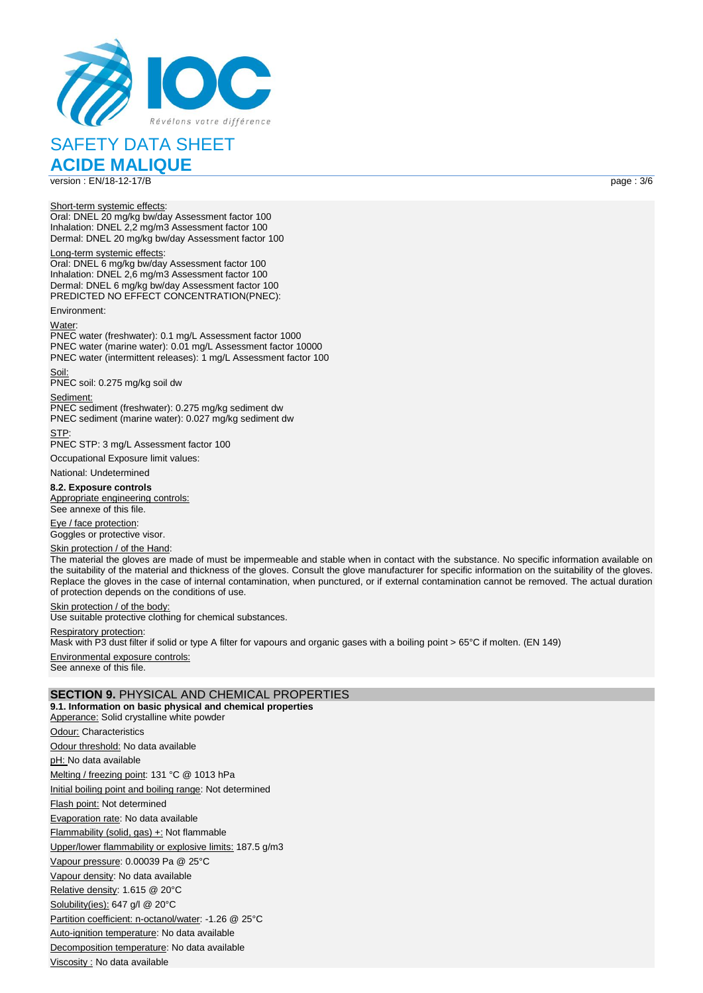

**ACIDE MALIQUE**

version : EN/18-12-17/B page : 3/6

Short-term systemic effects:

Oral: DNEL 20 mg/kg bw/day Assessment factor 100 Inhalation: DNEL 2,2 mg/m3 Assessment factor 100 Dermal: DNEL 20 mg/kg bw/day Assessment factor 100

Long-term systemic effects: Oral: DNEL 6 mg/kg bw/day Assessment factor 100 Inhalation: DNEL 2,6 mg/m3 Assessment factor 100 Dermal: DNEL 6 mg/kg bw/day Assessment factor 100 PREDICTED NO EFFECT CONCENTRATION(PNEC):

Environment:

Water:

PNEC water (freshwater): 0.1 mg/L Assessment factor 1000 PNEC water (marine water): 0.01 mg/L Assessment factor 10000 PNEC water (intermittent releases): 1 mg/L Assessment factor 100

Soil: PNEC soil: 0.275 mg/kg soil dw

Sediment:

PNEC sediment (freshwater): 0.275 mg/kg sediment dw PNEC sediment (marine water): 0.027 mg/kg sediment dw STP:

PNEC STP: 3 mg/L Assessment factor 100

Occupational Exposure limit values:

National: Undetermined

**8.2. Exposure controls** Appropriate engineering controls: See annexe of this file.

Eye / face protection: Goggles or protective visor.

#### Skin protection / of the Hand:

The material the gloves are made of must be impermeable and stable when in contact with the substance. No specific information available on the suitability of the material and thickness of the gloves. Consult the glove manufacturer for specific information on the suitability of the gloves. Replace the gloves in the case of internal contamination, when punctured, or if external contamination cannot be removed. The actual duration of protection depends on the conditions of use.

Skin protection / of the body:

Use suitable protective clothing for chemical substances.

Respiratory protection:

Mask with P3 dust filter if solid or type A filter for vapours and organic gases with a boiling point > 65°C if molten. (EN 149)

Environmental exposure controls: See annexe of this file.

### **SECTION 9.** PHYSICAL AND CHEMICAL PROPERTIES

**9.1. Information on basic physical and chemical properties** Apperance: Solid crystalline white powder Odour: Characteristics Odour threshold: No data available pH: No data available Melting / freezing point: 131 °C @ 1013 hPa Initial boiling point and boiling range: Not determined Flash point: Not determined Evaporation rate: No data available Flammability (solid, gas) +: Not flammable Upper/lower flammability or explosive limits: 187.5 g/m3 Vapour pressure: 0.00039 Pa @ 25°C Vapour density: No data available Relative density: 1.615 @ 20°C Solubility(ies): 647 g/l @ 20°C Partition coefficient: n-octanol/water: -1.26 @ 25°C Auto-ignition temperature: No data available Decomposition temperature: No data available Viscosity : No data available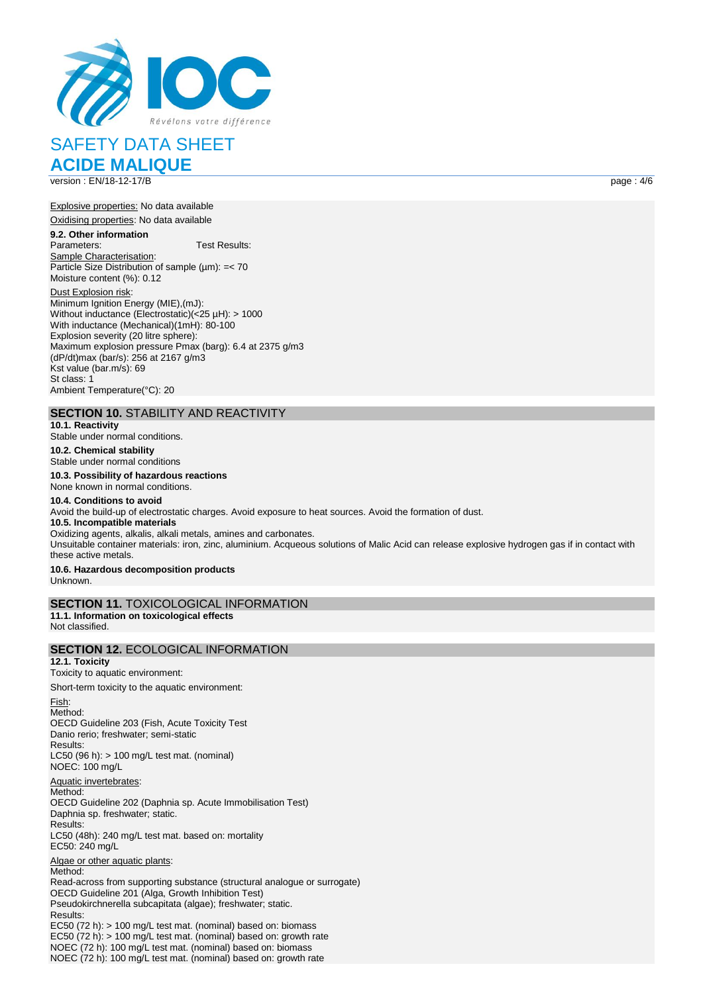

**ACIDE MALIQUE** version : EN/18-12-17/B page : 4/6

Explosive properties: No data available

Oxidising properties: No data available

**9.2. Other information** Test Results: Sample Characterisation: Particle Size Distribution of sample  $(\mu m)$ : = < 70 Moisture content (%): 0.12

Dust Explosion risk: Minimum Ignition Energy (MIE),(mJ): Without inductance (Electrostatic)(<25 µH): > 1000 With inductance (Mechanical)(1mH): 80-100 Explosion severity (20 litre sphere): Maximum explosion pressure Pmax (barg): 6.4 at 2375 g/m3 (dP/dt)max (bar/s): 256 at 2167 g/m3 Kst value (bar.m/s): 69 St class: 1 Ambient Temperature(°C): 20

## **SECTION 10.** STABILITY AND REACTIVITY

**10.1. Reactivity**

Stable under normal conditions.

**10.2. Chemical stability** Stable under normal conditions

## **10.3. Possibility of hazardous reactions**

None known in normal conditions. **10.4. Conditions to avoid** Avoid the build-up of electrostatic charges. Avoid exposure to heat sources. Avoid the formation of dust. **10.5. Incompatible materials** Oxidizing agents, alkalis, alkali metals, amines and carbonates. Unsuitable container materials: iron, zinc, aluminium. Acqueous solutions of Malic Acid can release explosive hydrogen gas if in contact with these active metals. **10.6. Hazardous decomposition products**

Unknown.

Fish:

## **SECTION 11.** TOXICOLOGICAL INFORMATION

**11.1. Information on toxicological effects** Not classified.

## **SECTION 12.** ECOLOGICAL INFORMATION

**12.1. Toxicity**

Toxicity to aquatic environment:

Short-term toxicity to the aquatic environment:

Method: OECD Guideline 203 (Fish, Acute Toxicity Test Danio rerio; freshwater; semi-static Results: LC50 (96 h): > 100 mg/L test mat. (nominal) NOEC: 100 mg/L Aquatic invertebrates: Method: OECD Guideline 202 (Daphnia sp. Acute Immobilisation Test) Daphnia sp. freshwater; static. Results: LC50 (48h): 240 mg/L test mat. based on: mortality EC50: 240 mg/L Algae or other aquatic plants: Method: Read-across from supporting substance (structural analogue or surrogate) OECD Guideline 201 (Alga, Growth Inhibition Test) Pseudokirchnerella subcapitata (algae); freshwater; static. Results: EC50 (72 h): > 100 mg/L test mat. (nominal) based on: biomass EC50 (72 h): > 100 mg/L test mat. (nominal) based on: growth rate NOEC (72 h): 100 mg/L test mat. (nominal) based on: biomass NOEC (72 h): 100 mg/L test mat. (nominal) based on: growth rate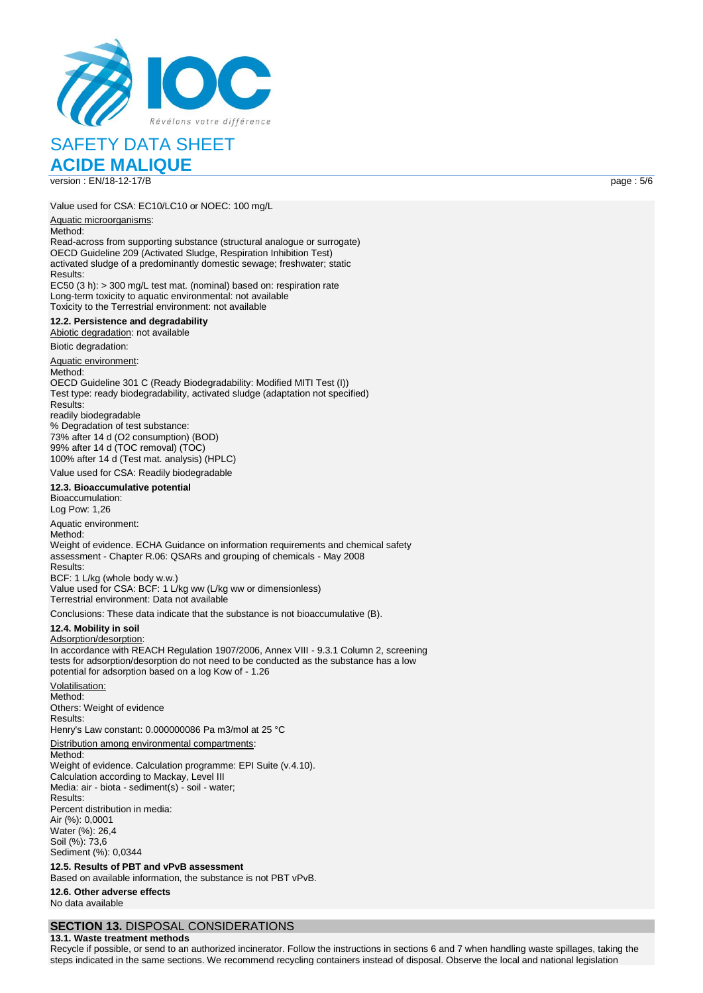

version : EN/18-12-17/B page : 5/6

**ACIDE MALIQUE**

Value used for CSA: EC10/LC10 or NOEC: 100 mg/L

#### Aquatic microorganisms:

Method:

Read-across from supporting substance (structural analogue or surrogate) OECD Guideline 209 (Activated Sludge, Respiration Inhibition Test) activated sludge of a predominantly domestic sewage; freshwater; static Results:

EC50 (3 h): > 300 mg/L test mat. (nominal) based on: respiration rate Long-term toxicity to aquatic environmental: not available Toxicity to the Terrestrial environment: not available

#### **12.2. Persistence and degradability**

Abiotic degradation: not available

Biotic degradation:

Aquatic environment:

Method: OECD Guideline 301 C (Ready Biodegradability: Modified MITI Test (I)) Test type: ready biodegradability, activated sludge (adaptation not specified) Results: readily biodegradable % Degradation of test substance:

73% after 14 d (O2 consumption) (BOD) 99% after 14 d (TOC removal) (TOC) 100% after 14 d (Test mat. analysis) (HPLC) Value used for CSA: Readily biodegradable

## **12.3. Bioaccumulative potential**

Bioaccumulation: Log Pow: 1,26 Aquatic environment: Method<sup>.</sup>

Weight of evidence. ECHA Guidance on information requirements and chemical safety assessment - Chapter R.06: QSARs and grouping of chemicals - May 2008 Results:

BCF: 1 L/kg (whole body w.w.) Value used for CSA: BCF: 1 L/kg ww (L/kg ww or dimensionless) Terrestrial environment: Data not available

Conclusions: These data indicate that the substance is not bioaccumulative (B).

#### **12.4. Mobility in soil**

Adsorption/desorption: In accordance with REACH Regulation 1907/2006, Annex VIII - 9.3.1 Column 2, screening tests for adsorption/desorption do not need to be conducted as the substance has a low potential for adsorption based on a log Kow of - 1.26

Volatilisation: Method: Others: Weight of evidence Results: Henry's Law constant: 0.000000086 Pa m3/mol at 25 °C Distribution among environmental compartments: Method: Weight of evidence. Calculation programme: EPI Suite (v.4.10). Calculation according to Mackay, Level III Media: air - biota - sediment(s) - soil - water; Results: Percent distribution in media: Air (%): 0,0001 Water (%): 26,4 Soil (%): 73,6 Sediment (%): 0,0344

**12.5. Results of PBT and vPvB assessment**

Based on available information, the substance is not PBT vPvB.

**12.6. Other adverse effects** No data available

## **SECTION 13.** DISPOSAL CONSIDERATIONS

**13.1. Waste treatment methods**

Recycle if possible, or send to an authorized incinerator. Follow the instructions in sections 6 and 7 when handling waste spillages, taking the steps indicated in the same sections. We recommend recycling containers instead of disposal. Observe the local and national legislation